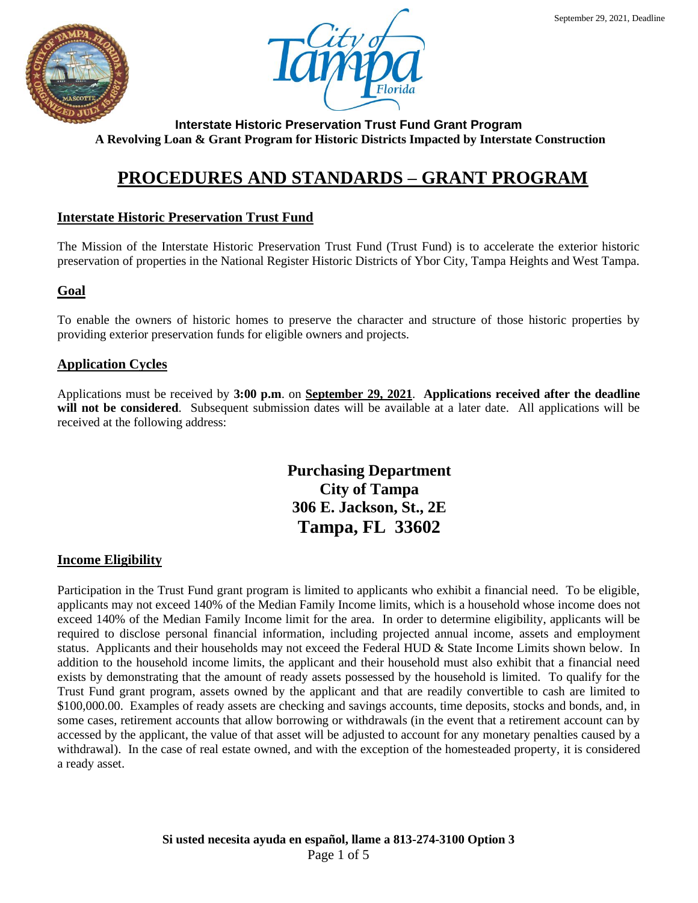



# **PROCEDURES AND STANDARDS – GRANT PROGRAM**

## **Interstate Historic Preservation Trust Fund**

The Mission of the Interstate Historic Preservation Trust Fund (Trust Fund) is to accelerate the exterior historic preservation of properties in the National Register Historic Districts of Ybor City, Tampa Heights and West Tampa.

## **Goal**

To enable the owners of historic homes to preserve the character and structure of those historic properties by providing exterior preservation funds for eligible owners and projects.

## **Application Cycles**

Applications must be received by **3:00 p.m**. on **September 29, 2021**. **Applications received after the deadline**  will not be considered. Subsequent submission dates will be available at a later date. All applications will be received at the following address:

> **Purchasing Department City of Tampa 306 E. Jackson, St., 2E Tampa, FL 33602**

## **Income Eligibility**

Participation in the Trust Fund grant program is limited to applicants who exhibit a financial need. To be eligible, applicants may not exceed 140% of the Median Family Income limits, which is a household whose income does not exceed 140% of the Median Family Income limit for the area. In order to determine eligibility, applicants will be required to disclose personal financial information, including projected annual income, assets and employment status. Applicants and their households may not exceed the Federal HUD & State Income Limits shown below. In addition to the household income limits, the applicant and their household must also exhibit that a financial need exists by demonstrating that the amount of ready assets possessed by the household is limited. To qualify for the Trust Fund grant program, assets owned by the applicant and that are readily convertible to cash are limited to \$100,000.00. Examples of ready assets are checking and savings accounts, time deposits, stocks and bonds, and, in some cases, retirement accounts that allow borrowing or withdrawals (in the event that a retirement account can by accessed by the applicant, the value of that asset will be adjusted to account for any monetary penalties caused by a withdrawal). In the case of real estate owned, and with the exception of the homesteaded property, it is considered a ready asset.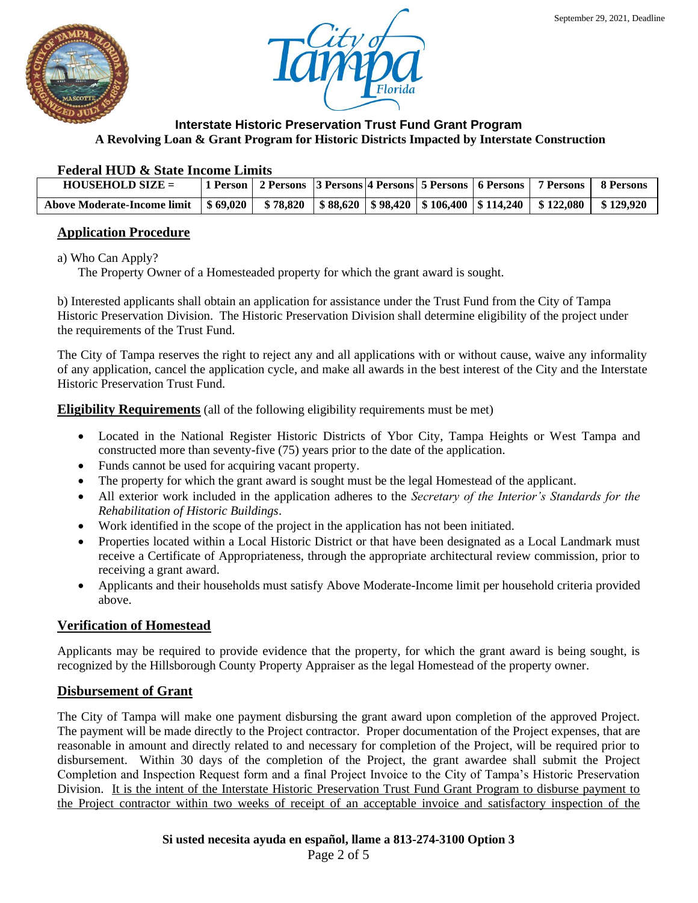



#### **Federal HUD & State Income Limits**

| $HOUSEHOLD SIZE =$                                                                                                 |  |  |  | 1 Person   2 Persons   3 Persons   4 Persons   5 Persons   6 Persons   7 Persons   8 Persons |                         |
|--------------------------------------------------------------------------------------------------------------------|--|--|--|----------------------------------------------------------------------------------------------|-------------------------|
| Above Moderate-Income limit   \$ 69,020   \$ 78,820   \$ 88,620   \$ 98,420   \$ 106,400   \$ 114,240   \$ 122,080 |  |  |  |                                                                                              | $\frac{1}{2}$ \$129.920 |

# **Application Procedure**

a) Who Can Apply?

The Property Owner of a Homesteaded property for which the grant award is sought.

b) Interested applicants shall obtain an application for assistance under the Trust Fund from the City of Tampa Historic Preservation Division. The Historic Preservation Division shall determine eligibility of the project under the requirements of the Trust Fund.

The City of Tampa reserves the right to reject any and all applications with or without cause, waive any informality of any application, cancel the application cycle, and make all awards in the best interest of the City and the Interstate Historic Preservation Trust Fund.

**Eligibility Requirements** (all of the following eligibility requirements must be met)

- Located in the National Register Historic Districts of Ybor City, Tampa Heights or West Tampa and constructed more than seventy-five (75) years prior to the date of the application.
- Funds cannot be used for acquiring vacant property.
- The property for which the grant award is sought must be the legal Homestead of the applicant.
- All exterior work included in the application adheres to the *Secretary of the Interior's Standards for the Rehabilitation of Historic Buildings*.
- Work identified in the scope of the project in the application has not been initiated.
- Properties located within a Local Historic District or that have been designated as a Local Landmark must receive a Certificate of Appropriateness, through the appropriate architectural review commission, prior to receiving a grant award.
- Applicants and their households must satisfy Above Moderate-Income limit per household criteria provided above.

## **Verification of Homestead**

Applicants may be required to provide evidence that the property, for which the grant award is being sought, is recognized by the Hillsborough County Property Appraiser as the legal Homestead of the property owner.

## **Disbursement of Grant**

The City of Tampa will make one payment disbursing the grant award upon completion of the approved Project. The payment will be made directly to the Project contractor. Proper documentation of the Project expenses, that are reasonable in amount and directly related to and necessary for completion of the Project, will be required prior to disbursement. Within 30 days of the completion of the Project, the grant awardee shall submit the Project Completion and Inspection Request form and a final Project Invoice to the City of Tampa's Historic Preservation Division. It is the intent of the Interstate Historic Preservation Trust Fund Grant Program to disburse payment to the Project contractor within two weeks of receipt of an acceptable invoice and satisfactory inspection of the

**Si usted necesita ayuda en español, llame a 813-274-3100 Option 3**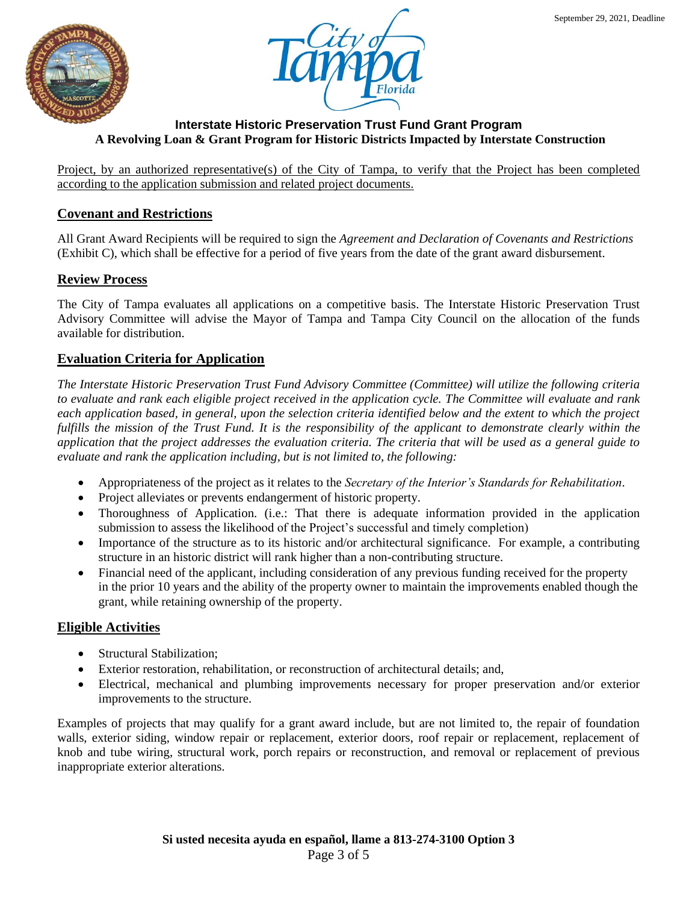



Project, by an authorized representative(s) of the City of Tampa, to verify that the Project has been completed according to the application submission and related project documents.

# **Covenant and Restrictions**

All Grant Award Recipients will be required to sign the *Agreement and Declaration of Covenants and Restrictions* (Exhibit C), which shall be effective for a period of five years from the date of the grant award disbursement.

## **Review Process**

The City of Tampa evaluates all applications on a competitive basis. The Interstate Historic Preservation Trust Advisory Committee will advise the Mayor of Tampa and Tampa City Council on the allocation of the funds available for distribution.

## **Evaluation Criteria for Application**

*The Interstate Historic Preservation Trust Fund Advisory Committee (Committee) will utilize the following criteria to evaluate and rank each eligible project received in the application cycle. The Committee will evaluate and rank each application based, in general, upon the selection criteria identified below and the extent to which the project fulfills the mission of the Trust Fund. It is the responsibility of the applicant to demonstrate clearly within the application that the project addresses the evaluation criteria. The criteria that will be used as a general guide to evaluate and rank the application including, but is not limited to, the following:* 

- Appropriateness of the project as it relates to the *Secretary of the Interior's Standards for Rehabilitation*.
- Project alleviates or prevents endangerment of historic property.
- Thoroughness of Application. (i.e.: That there is adequate information provided in the application submission to assess the likelihood of the Project's successful and timely completion)
- Importance of the structure as to its historic and/or architectural significance. For example, a contributing structure in an historic district will rank higher than a non-contributing structure.
- Financial need of the applicant, including consideration of any previous funding received for the property in the prior 10 years and the ability of the property owner to maintain the improvements enabled though the grant, while retaining ownership of the property.

## **Eligible Activities**

- Structural Stabilization;
- Exterior restoration, rehabilitation, or reconstruction of architectural details; and,
- Electrical, mechanical and plumbing improvements necessary for proper preservation and/or exterior improvements to the structure.

Examples of projects that may qualify for a grant award include, but are not limited to, the repair of foundation walls, exterior siding, window repair or replacement, exterior doors, roof repair or replacement, replacement of knob and tube wiring, structural work, porch repairs or reconstruction, and removal or replacement of previous inappropriate exterior alterations.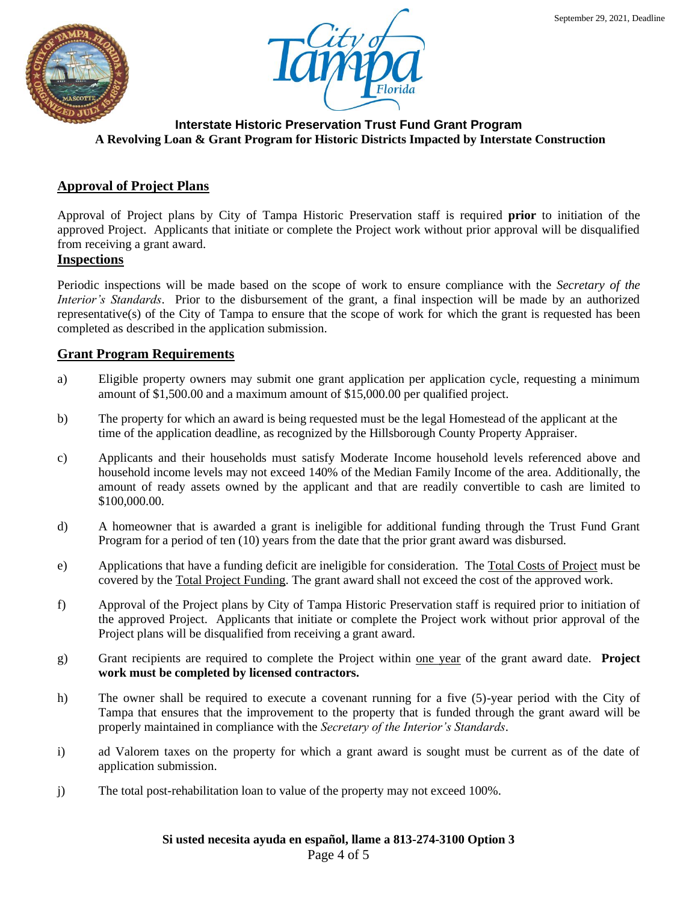



## **Approval of Project Plans**

Approval of Project plans by City of Tampa Historic Preservation staff is required **prior** to initiation of the approved Project. Applicants that initiate or complete the Project work without prior approval will be disqualified from receiving a grant award.

#### **Inspections**

Periodic inspections will be made based on the scope of work to ensure compliance with the *Secretary of the Interior's Standards*. Prior to the disbursement of the grant, a final inspection will be made by an authorized representative(s) of the City of Tampa to ensure that the scope of work for which the grant is requested has been completed as described in the application submission.

#### **Grant Program Requirements**

- a) Eligible property owners may submit one grant application per application cycle, requesting a minimum amount of \$1,500.00 and a maximum amount of \$15,000.00 per qualified project.
- b) The property for which an award is being requested must be the legal Homestead of the applicant at the time of the application deadline, as recognized by the Hillsborough County Property Appraiser.
- c) Applicants and their households must satisfy Moderate Income household levels referenced above and household income levels may not exceed 140% of the Median Family Income of the area. Additionally, the amount of ready assets owned by the applicant and that are readily convertible to cash are limited to \$100,000.00.
- d) A homeowner that is awarded a grant is ineligible for additional funding through the Trust Fund Grant Program for a period of ten (10) years from the date that the prior grant award was disbursed.
- e) Applications that have a funding deficit are ineligible for consideration. The Total Costs of Project must be covered by the Total Project Funding. The grant award shall not exceed the cost of the approved work.
- f) Approval of the Project plans by City of Tampa Historic Preservation staff is required prior to initiation of the approved Project. Applicants that initiate or complete the Project work without prior approval of the Project plans will be disqualified from receiving a grant award.
- g) Grant recipients are required to complete the Project within one year of the grant award date. **Project work must be completed by licensed contractors.**
- h) The owner shall be required to execute a covenant running for a five (5)-year period with the City of Tampa that ensures that the improvement to the property that is funded through the grant award will be properly maintained in compliance with the *Secretary of the Interior's Standards*.
- i) ad Valorem taxes on the property for which a grant award is sought must be current as of the date of application submission.
- j) The total post-rehabilitation loan to value of the property may not exceed 100%.